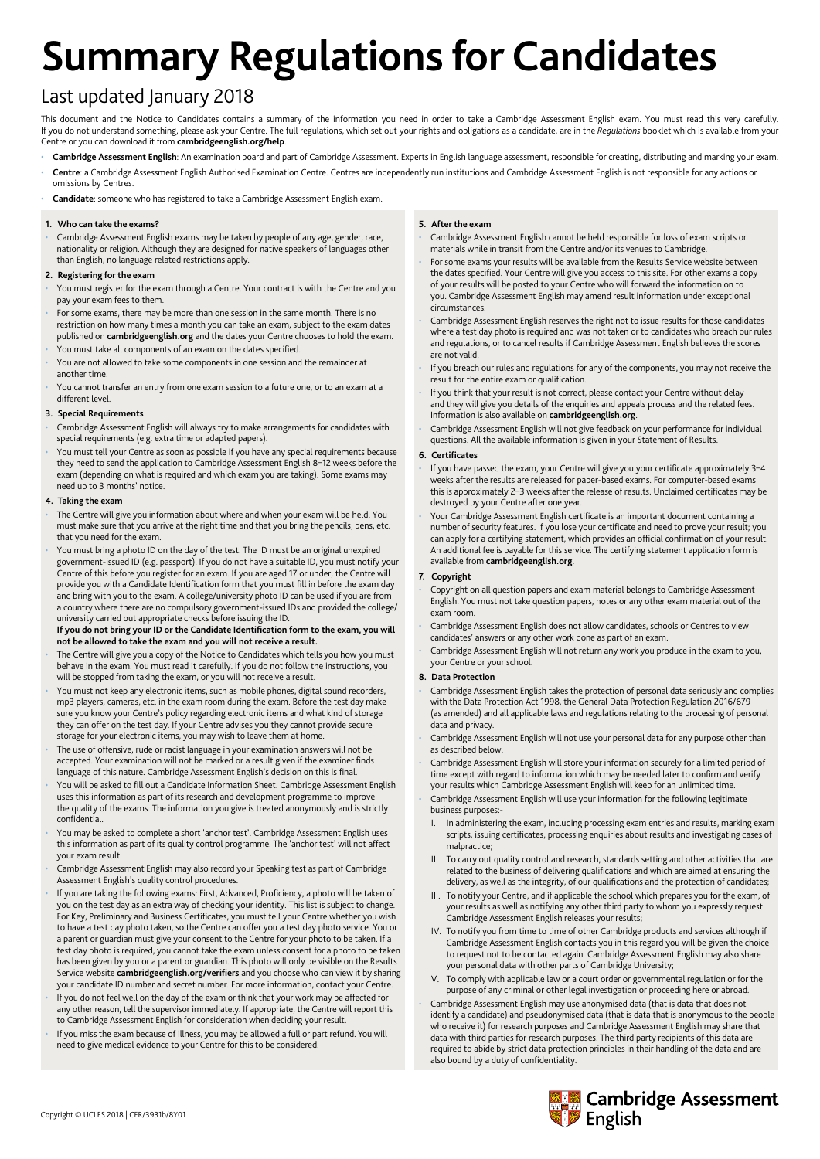# **Summary Regulations for Candidates**

# Last updated January 2018

This document and the Notice to Candidates contains a summary of the information you need in order to take a Cambridge Assessment English exam. You must read this very carefully. If you do not understand something, please ask your Centre. The full regulations, which set out your rights and obligations as a candidate, are in the *Regulations* booklet which is available from your Centre or you can download it from **[cambridgeenglish.org/help](http://www.cambridgeenglish.org/help/)**.

- Cambridge Assessment English: An examination board and part of Cambridge Assessment. Experts in English language assessment, responsible for creating, distributing and marking your exam.
- Centre: a Cambridge Assessment English Authorised Examination Centre. Centres are independently run institutions and Cambridge Assessment English is not responsible for any actions or omissions by Centres.

• **Candidate**: someone who has registered to take a Cambridge Assessment English exam.

### **1. Who can take the exams?**

• Cambridge Assessment English exams may be taken by people of any age, gender, race, nationality or religion. Although they are designed for native speakers of languages other than English, no language related restrictions apply.

### **2. Registering for the exam**

- You must register for the exam through a Centre. Your contract is with the Centre and you pay your exam fees to them.
- For some exams, there may be more than one session in the same month. There is no restriction on how many times a month you can take an exam, subject to the exam dates published on **cambridgeenglish.org** and the dates your Centre chooses to hold the exam.
- You must take all components of an exam on the dates specified
- You are not allowed to take some components in one session and the remainder at another time.
- You cannot transfer an entry from one exam session to a future one, or to an exam at a different level.

### **3. Special Requirements**

- Cambridge Assessment English will always try to make arrangements for candidates with special requirements (e.g. extra time or adapted papers).
- You must tell your Centre as soon as possible if you have any special requirements because they need to send the application to Cambridge Assessment English 8–12 weeks before the exam (depending on what is required and which exam you are taking). Some exams may need up to 3 months' notice.

### **4. Taking the exam**

- The Centre will give you information about where and when your exam will be held. You must make sure that you arrive at the right time and that you bring the pencils, pens, etc. that you need for the exam.
- You must bring a photo ID on the day of the test. The ID must be an original unexpired government-issued ID (e.g. passport). If you do not have a suitable ID, you must notify your Centre of this before you register for an exam. If you are aged 17 or under, the Centre will provide you with a Candidate Identification form that you must fill in before the exam day and bring with you to the exam. A college/university photo ID can be used if you are from a country where there are no compulsory government-issued IDs and provided the college/ university carried out appropriate checks before issuing the ID.

### **If you do not bring your ID or the Candidate Identification form to the exam, you will not be allowed to take the exam and you will not receive a result.**

- The Centre will give you a copy of the Notice to Candidates which tells you how you must behave in the exam. You must read it carefully. If you do not follow the instructions, you will be stopped from taking the exam, or you will not receive a result.
- You must not keep any electronic items, such as mobile phones, digital sound recorders, mp3 players, cameras, etc. in the exam room during the exam. Before the test day make sure you know your Centre's policy regarding electronic items and what kind of storage they can offer on the test day. If your Centre advises you they cannot provide secure storage for your electronic items, you may wish to leave them at home.
- The use of offensive, rude or racist language in your examination answers will not be accepted. Your examination will not be marked or a result given if the examiner finds language of this nature. Cambridge Assessment English's decision on this is final.
- You will be asked to fill out a Candidate Information Sheet. Cambridge Assessment English uses this information as part of its research and development programme to improve the quality of the exams. The information you give is treated anonymously and is strictly confidential.
- You may be asked to complete a short 'anchor test'. Cambridge Assessment English uses this information as part of its quality control programme. The 'anchor test' will not affect your exam result.
- Cambridge Assessment English may also record your Speaking test as part of Cambridge Assessment English's quality control procedures.
- If you are taking the following exams: First, Advanced, Proficiency, a photo will be taken of you on the test day as an extra way of checking your identity. This list is subject to change. For Key, Preliminary and Business Certificates, you must tell your Centre whether you wish to have a test day photo taken, so the Centre can offer you a test day photo service. You or a parent or guardian must give your consent to the Centre for your photo to be taken. If a test day photo is required, you cannot take the exam unless consent for a photo to be taken has been given by you or a parent or guardian. This photo will only be visible on the Results Service website **cambridgeenglish.org/verifiers** and you choose who can view it by sharing your candidate ID number and secret number. For more information, contact your Centre.
- If you do not feel well on the day of the exam or think that your work may be affected for any other reason, tell the supervisor immediately. If appropriate, the Centre will report this to Cambridge Assessment English for consideration when deciding your result.
- If you miss the exam because of illness, you may be allowed a full or part refund. You will need to give medical evidence to your Centre for this to be considered.

### **5. After the exam**

- Cambridge Assessment English cannot be held responsible for loss of exam scripts or materials while in transit from the Centre and/or its venues to Cambridge.
- For some exams your results will be available from the Results Service website between the dates specified. Your Centre will give you access to this site. For other exams a copy of your results will be posted to your Centre who will forward the information on to you. Cambridge Assessment English may amend result information under exceptional circumstances.
- Cambridge Assessment English reserves the right not to issue results for those candidates where a test day photo is required and was not taken or to candidates who breach our rules and regulations, or to cancel results if Cambridge Assessment English believes the scores are not valid.
- If you breach our rules and regulations for any of the components, you may not receive the result for the entire exam or qualification.
- If you think that your result is not correct, please contact your Centre without delay and they will give you details of the enquiries and appeals process and the related fees. Information is also available on **cambridgeenglish.org**.
- Cambridge Assessment English will not give feedback on your performance for individual questions. All the available information is given in your Statement of Results.

### **6. Certificates**

- If you have passed the exam, your Centre will give you your certificate approximately 3–4 weeks after the results are released for paper-based exams. For computer-based exams this is approximately 2–3 weeks after the release of results. Unclaimed certificates may be destroyed by your Centre after one year.
- Your Cambridge Assessment English certificate is an important document containing a number of security features. If you lose your certificate and need to prove your result; you can apply for a certifying statement, which provides an official confirmation of your result. An additional fee is payable for this service. The certifying statement application form is available from **cambridgeenglish.org**.

### **7. Copyright**

- Copyright on all question papers and exam material belongs to Cambridge Assessment English. You must not take question papers, notes or any other exam material out of the exam room.
- Cambridge Assessment English does not allow candidates, schools or Centres to view candidates' answers or any other work done as part of an exam.
- Cambridge Assessment English will not return any work you produce in the exam to you, your Centre or your school.

### **8. Data Protection**

- Cambridge Assessment English takes the protection of personal data seriously and complies with the Data Protection Act 1998, the General Data Protection Regulation 2016/679 (as amended) and all applicable laws and regulations relating to the processing of personal data and privacy.
- Cambridge Assessment English will not use your personal data for any purpose other than as described below.
- Cambridge Assessment English will store your information securely for a limited period of time except with regard to information which may be needed later to confirm and verify your results which Cambridge Assessment English will keep for an unlimited time.
- Cambridge Assessment English will use your information for the following legitimate business purposes:
	- I. In administering the exam, including processing exam entries and results, marking exam scripts, issuing certificates, processing enquiries about results and investigating cases of malpractice;
	- II. To carry out quality control and research, standards setting and other activities that are related to the business of delivering qualifications and which are aimed at ensuring the delivery, as well as the integrity, of our qualifications and the protection of candidates;
	- III. To notify your Centre, and if applicable the school which prepares you for the exam, of your results as well as notifying any other third party to whom you expressly request Cambridge Assessment English releases your results;
	- IV. To notify you from time to time of other Cambridge products and services although if Cambridge Assessment English contacts you in this regard you will be given the choice to request not to be contacted again. Cambridge Assessment English may also share your personal data with other parts of Cambridge University;
	- V. To comply with applicable law or a court order or governmental regulation or for the purpose of any criminal or other legal investigation or proceeding here or abroad.
- Cambridge Assessment English may use anonymised data (that is data that does not identify a candidate) and pseudonymised data (that is data that is anonymous to the people who receive it) for research purposes and Cambridge Assessment English may share that data with third parties for research purposes. The third party recipients of this data are required to abide by strict data protection principles in their handling of the data and are also bound by a duty of confidentiality.